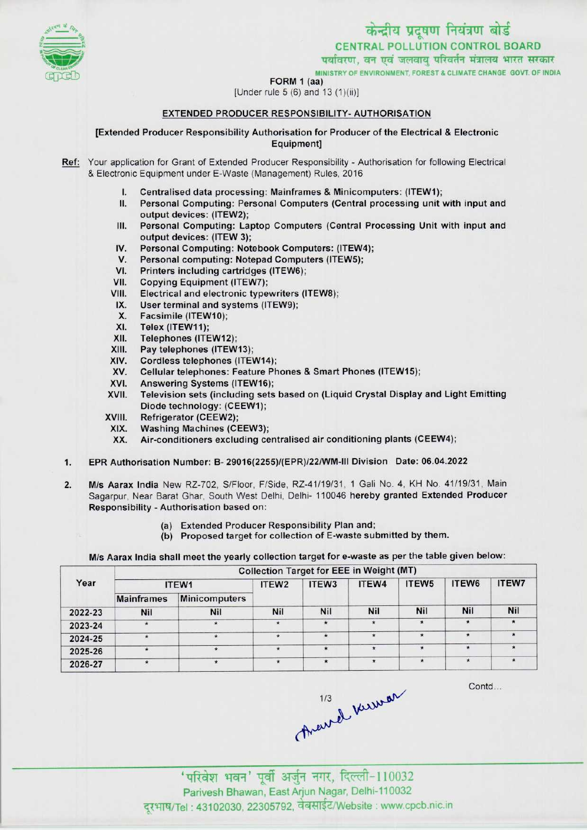

पर्यावरण, वन एवं जलवायु परिवर्तन मंत्रालय भारत सरकार

MINISTRY OF ENVIRONMENT, FOREST S CLIMATE CHANGE GOVT. OF INDIA



FORM 1 (aa)

[Under rule 5 (6) and 13 (1)(ii)]

# EXTENDED PRODUCER RESPONSIBILITY-AUTHORISATION

[Extended Producer Responsibility Authorisation for Producer of the Electrical & Electronic Equipment]

Ref: Your application for Grant of Extended Producer Responsibility - Authorisation for following Electrical & Electronic Equipment under E-Waste (Management) Rules, 2016

- I. Centralised data processing: Mainframes & Minicomputers: (ITEW1);<br>II. Personal Computing: Personal Computers (Central processing unit )
- Personal Computing: Personal Computers (Central processing unit with input and output devices: (ITEW2);
- III. Personal Computing: Laptop Computers (Central Processing Unit with input and output devices: (ITEW 3); IV. Personal Computing: Laptop Computers (Central Protection<br>IV. Personal Computing: Notebook Computers: (ITEW4);<br>V. Personal computing: Notebook Computers (ITEW5);
- Supplit devices: (ITEW 3);<br>V. Personal Computing: Notebook Computers: (ITEW<br>V. Personal computing: Notepad Computers (ITEW5);<br>// Printers including contriduce (ITEW6);
- IV. Personal Computing: Notebook Computers: (ITEW-<br>V. Personal computing: Notepad Computers (ITEW5);<br>VI. Printers including cartridges (ITEW6);<br>VII. Copying Equipment (ITEW7);
- VI. Printers including cartridges (ITEW6);<br>VII. Copying Equipment (ITEW7);<br>VIII. Electrical and electronic typewriters (I
- 
- VIII. Electrical and electronic typewriters (ITEW8);<br>IX. User terminal and systems (ITEW9); III. Electrical and electronic typewriters<br>IX. User terminal and systems (ITEW9);<br>X. Eassimile (ITEW10);
- III. Electrical and electr<br>X. User terminal and s<br>X. Facsimile (ITEW10);<br>XI. Telex (ITEW11);
- X. Facsimile (ITEW10);<br>XI. Telex (ITEW11);<br>XII. Telephones (ITEW12
- 
- 
- XII. Telephones (ITEW12);<br>XIII. Pay telephones (ITEW
- XIII. Pay telephones (ITEW13);<br>XIV. Cordless telephones (ITE)
- XIV. Cordless telephones (ITEW14);<br>XV. Cellular telephones: Feature Ph XIII. — Pay telephones (ITEW13);<br>KIV. — Cordiess telephones (ITEW14);<br>XV. — Cellular telephones: Feature Phones & Smart Phones (ITEW15); XIV. Coldiess deephones (ITEW14)<br>XVI. Answering Systems (ITEW16);<br>XVII. Television sets (including sets)
- 
- XVI. Answering Systems (ITEW16);<br>XVII. Television sets (including sets based on (Liquid Crystal Display and Light Emitting Diode technology: (CEEW1);
- XVIII. Refrigerator (CEEW2);<br>XIX. Washing Machines (CI
	-
	- XIX. Washing Machines (CEEW3);<br>XX. Air-conditioners excluding ce VIII. — Refrigerator (CEEW2);<br>KIX. — Washing Machines (CEEW3);<br>XX. — Air-conditioners excluding centralised air conditioning plants (CEEW4);
- XX. Washing Machines (OEEW),<br>XX. Air-conditioners excluding centralised air conditioning plants (CEEW4);<br>1. EPR Authorisation Number: B- 29016(2255)/(EPR)/22/WM-III Division Date: 06.04.2022
- 2. EPR Authorisation Number: B- 29016(2255)/(EPR)/22/WM-III Division Date: 06.04.2022<br>2. M/s Aarax India New RZ-702, S/Floor, F/Side, RZ-41/19/31, 1 Gali No. 4, KH No. 41/19/31, Main Sagarpur, Near Barat Ghar, South West Delhi, Delhi- 110046 hereby granted Extended Producer Responsibility - Authorisation based on:
	- (a) Extended Producer Responsibility Plan and;
	- (a) Extended Producer Responsibility Plan and;<br>(b) Proposed target for collection of E-waste submitted by them

M/s Aarax India shall meet the yearly collection target for e-waste as per the table given below:

| Year    | <b>Collection Target for EEE in Weight (MT)</b> |                      |                   |                   |            |                   |            |       |  |  |
|---------|-------------------------------------------------|----------------------|-------------------|-------------------|------------|-------------------|------------|-------|--|--|
|         |                                                 | ITEW1                | ITEW <sub>2</sub> | ITEW <sub>3</sub> | ITEW4      | ITEW <sub>5</sub> | ITEW6      | ITEW7 |  |  |
|         | <b>Mainframes</b>                               | <b>Minicomputers</b> |                   |                   |            |                   |            |       |  |  |
| 2022-23 | Nil                                             | <b>Nil</b>           | <b>Nil</b>        | Nil               | <b>Nil</b> | <b>Nil</b>        | <b>Nil</b> | Nil   |  |  |
| 2023-24 |                                                 | $\star$              | $\star$           | $\star$           | $\star$    | $\star$           | $\star$    |       |  |  |
| 2024-25 |                                                 | $\star$              | $\star$           | $\star$           | $\star$    | $\star$           |            |       |  |  |
| 2025-26 |                                                 | $\pmb{\star}$        | $\star$           | $\star$           |            | $\star$           | $\star$    |       |  |  |
| 2026-27 | $\star$                                         | $\star$              | $\star$           | $\star$           | $\star$    | $\star$           | $\star$    |       |  |  |

Contd...

Theurel Kerman

'परिवेश भवन' पूर्वी अर्जुन नगर, दिल्ली-110032 Parivesh Bhawan, East Arjun Nagar, Delhi-110032 दूरभाष/Tel : 43102030, 22305792, वेबसाईट/Website : www.cpcb.nic.in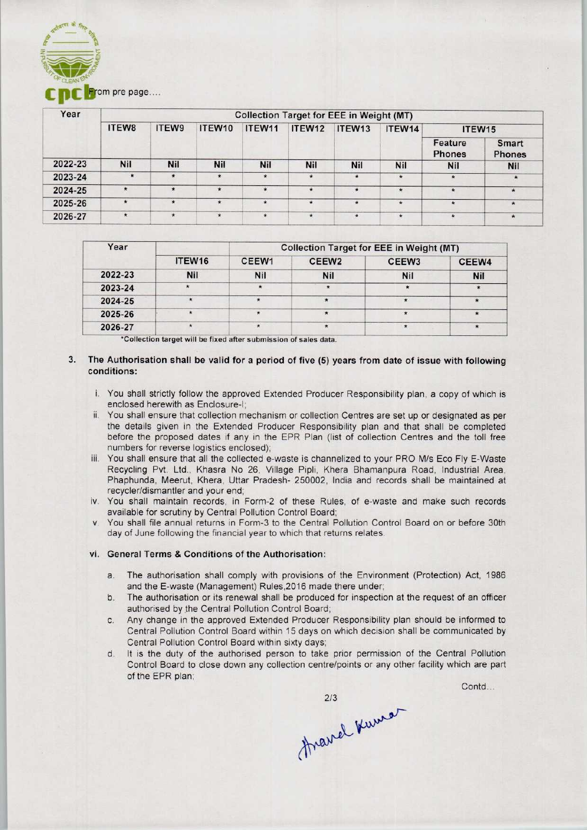

| Year    | <b>Collection Target for EEE in Weight (MT)</b> |            |            |               |         |            |            |                          |                               |  |  |
|---------|-------------------------------------------------|------------|------------|---------------|---------|------------|------------|--------------------------|-------------------------------|--|--|
|         | ITEW8                                           | ITEW9      | ITEW10     | ITEW11        | ITEW12  | ITEW13     | ITEW14     | ITEW15                   |                               |  |  |
|         |                                                 |            |            |               |         |            |            | Feature<br><b>Phones</b> | <b>Smart</b><br><b>Phones</b> |  |  |
| 2022-23 | <b>Nil</b>                                      | <b>Nil</b> | <b>Nil</b> | <b>Nil</b>    | Nil     | <b>Nil</b> | <b>Nil</b> | <b>Nil</b>               | <b>Nil</b>                    |  |  |
| 2023-24 | $\star$                                         | $\star$    | $\star$    | $\star$       | $\star$ | $\star$    | $\star$    | $\star$                  | $\star$                       |  |  |
| 2024-25 | $\star$                                         | $\star$    | $\star$    | $\star$       | $\star$ | $\star$    | $\star$    | $\star$                  | $\star$                       |  |  |
| 2025-26 | $\star$                                         | $\star$    | $\star$    | $\star$       | $\star$ | $\star$    | $\star$    | $\star$                  | $\star$                       |  |  |
| 2026-27 | $\star$                                         | $\star$    | $\star$    | $\pmb{\star}$ | $\star$ | $\star$    | $\star$    | $\star$                  | $\pmb{\ast}$                  |  |  |
|         |                                                 |            |            |               |         |            |            |                          |                               |  |  |

| Year    |            | <b>Collection Target for EEE in Weight (MT)</b> |                   |                   |            |  |  |  |
|---------|------------|-------------------------------------------------|-------------------|-------------------|------------|--|--|--|
|         | ITEW16     | CEEW1                                           | CEEW <sub>2</sub> | CEEW <sub>3</sub> | CEEW4      |  |  |  |
| 2022-23 | <b>Nil</b> | <b>Nil</b>                                      | <b>Nil</b>        | Nil               | <b>Nil</b> |  |  |  |
| 2023-24 |            |                                                 |                   |                   |            |  |  |  |
| 2024-25 |            |                                                 |                   |                   |            |  |  |  |
| 2025-26 |            |                                                 | $\cdot$           |                   | $\star$    |  |  |  |
| 2026-27 |            |                                                 |                   |                   |            |  |  |  |

\*Collection target will be fixed after submission of sales data.

## 3. The Authorisation shall be valid for a period of five (5) years from date of issue with following conditions:

- i. You shall strictly follow the approved Extended Producer Responsibility plan, a copy of which is enclosed herewith as Enclosure-I;
- ii. You shall ensure that collection mechanism or collection Centres are set up or designated as per the details given in the Extended Producer Responsibility plan and that shall be completed before the proposed dates if any in the EPR Plan (list of collection Centres and the toll free numbers for reverse logistics enclosed);
- iii. You shall ensure that all the collected e-waste is channelized to your PRO M/s Eco Fly E-Waste Recycling Pvt. Ltd., Khasra No 26, Village Pipli, Khera Bhamanpura Road, Industrial Area, Phaphunda, Meerut, Khera, Uttar Pradesh- 250002, India and records shall be maintained at recyder/dismantler and your end;
- iv. You shall maintain records, in Form-2 of these Rules, of e-waste and make such records available for scrutiny by Central Pollution Control Board;
- v. You shall file annual returns in Form-3 to the Central Pollution Control Board on or before 30th day of June following the financial year to which that returns relates.

#### vi. General Terms & Conditions of the Authorisation:

- The authorisation shall comply with provisions of the Environment (Protection) Act, 1986 a. and the E-waste (Management) Rules,2016 made there under;
- b. The authorisation or its renewal shall be produced for inspection at the request of an officer authorised by the Central Pollution Control Board;
- Any change in the approved Extended Producer Responsibility plan should be informed to Central Pollution Control Board within 15 days on which decision shall be communicated by Central Pollution Control Board within sixty days;
- d. It is the duty of the authorised person to take prior permission of the Central Pollution Control Board to close down any collection centre/points or any other facility which are part of the EPR plan;

Contd...

Arawel Kumar